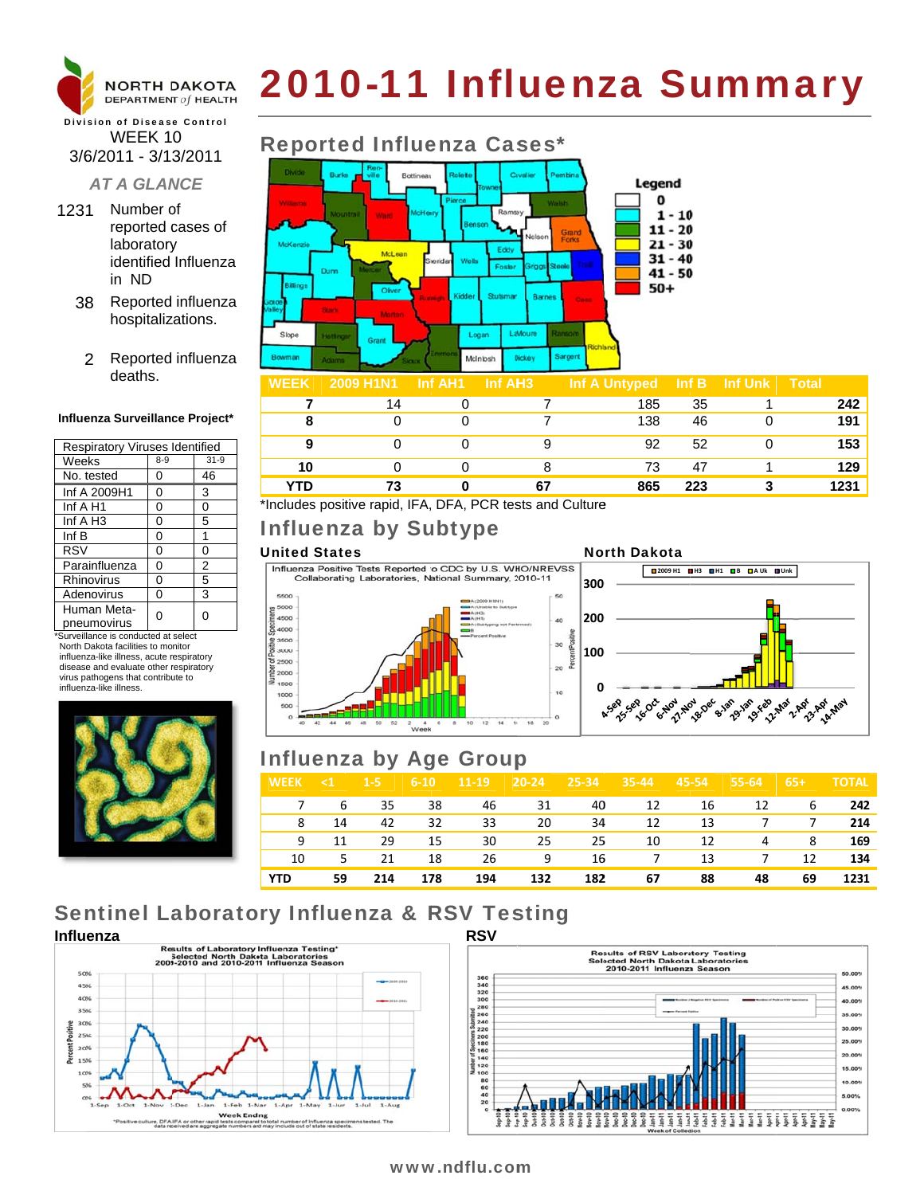

# 2010-11 Influenza Summary

#### **Division of Disease Control** WEEK 10 3/6/2011 - 3/13/2011

#### **AT A GLANCE**

- 1231 Number of reported cases of laboratory identified Influenza in ND
	- 38 Reported influenza hospitalizations.
		- 2 Reported influenza deaths.

#### Influenza Surveillance Project\*

| <b>Respiratory Viruses Identified</b> |         |                |  |  |  |  |
|---------------------------------------|---------|----------------|--|--|--|--|
| Weeks                                 | $8 - 9$ | $31-9$         |  |  |  |  |
| No. tested                            | 0       | 46             |  |  |  |  |
| Inf A 2009H1                          | 0       | 3              |  |  |  |  |
| Inf A H1                              | 0       | 0              |  |  |  |  |
| Inf $A$ H <sub>3</sub>                | 0       | 5              |  |  |  |  |
| Inf B                                 | 0       | 1              |  |  |  |  |
| <b>RSV</b>                            | 0       | 0              |  |  |  |  |
| Parainfluenza                         | 0       | $\overline{2}$ |  |  |  |  |
| Rhinovirus                            | 0       | 5              |  |  |  |  |
| Adenovirus                            | 0       | 3              |  |  |  |  |
| Human Meta-<br>pneumovirus            |         | O              |  |  |  |  |

\*Surveillance is conducted at select North Dakota facilities to monitor influenza-like illness, acute respiratory disease and evaluate other respiratory virus pathogens that contribute to influenza-like illness



### **Reported Influenza Cases\***



| <b>WEEK</b> | <b>ZUUY MINI</b> | - INT AH'I | ⊣nr AH3 i | <b>INT A UNTYPED</b> | ⊪ Inf B | ⊟ inf ∪nk i | ι ι οται |
|-------------|------------------|------------|-----------|----------------------|---------|-------------|----------|
|             | 14               |            |           | 185                  | 35      |             | 242      |
|             |                  |            |           | 138                  | 46      |             | 191      |
| 9           |                  |            |           | 92                   | 52      |             | 153      |
| 10          |                  |            |           | 73                   | 47      |             | 129      |
| YTD         |                  |            | 67        | 865                  | 223     |             | 1231     |

**North Dakota** 

\*Includes positive rapid, IFA, DFA, PCR tests and Culture

### Influenza by Subtype

#### **United States**

5500

5000 4500

84000

3500

3000

2500

 $2000$ 

1500

1000

Influenza Positive Tests Reported to CDC by U.S. WHO/NREVSS Collaborating Laboratories, National Summary, 2010-11

 $14.16 - 18$ 

 $12$ 



### **Influenza by Age Group**

 $\begin{array}{ccccc} 2 & & 4 & & 6 & & 8 \\ & & & & & \text{Week} \end{array}$ 

44 46 48 50 52

| <b>WEEK</b> | $\leq 1$ | $1-5$ | $6 - 10$ | $11-19$ | $\sqrt{20-24}$ | $ 25-34 $ | $35 - 44$ | 45-54 | $55 - 64$      | $65+1$         | <b>TOTAL</b> |
|-------------|----------|-------|----------|---------|----------------|-----------|-----------|-------|----------------|----------------|--------------|
|             | 7 6      |       | 35 38    |         | 46 31          | 40        | 12        | 16    | 12             | 6              | 242          |
| 8           | 14       | 42    | 32       | 33      | 20             | 34        | 12        | 13    |                | 7 7            | 214          |
| 9           | 11       | 29    | 15       | 30      | 25             | 25        | 10        | 12    | 4              | 8 <sup>1</sup> | 169          |
| 10          | $5 - 5$  | 21    | 18       | 26      | $\sim$ 9       |           | 16 7 13   |       | $\overline{7}$ | 12             | 134          |
| YTD         | 59       | 214   | 178      | 194     | 132            | 182       | 67        | 88    | 48             | 69             | 1231         |

## **Sentinel Laboratory Influenza & RSV Testing**





### www.ndflu.com